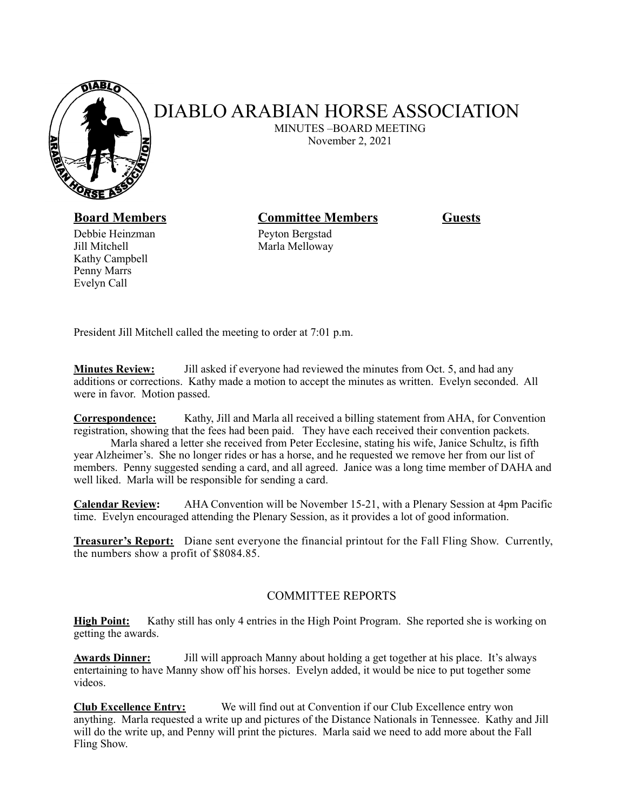

## DIABLO ARABIAN HORSE ASSOCIATION

 MINUTES –BOARD MEETING November 2, 2021

Debbie Heinzman Peyton Bergstad Jill Mitchell Marla Melloway Kathy Campbell Penny Marrs Evelyn Call

## **Board Members Committee Members Guests**

President Jill Mitchell called the meeting to order at 7:01 p.m.

**Minutes Review:** Jill asked if everyone had reviewed the minutes from Oct. 5, and had any additions or corrections. Kathy made a motion to accept the minutes as written. Evelyn seconded. All were in favor. Motion passed.

**Correspondence:** Kathy, Jill and Marla all received a billing statement from AHA, for Convention registration, showing that the fees had been paid. They have each received their convention packets.

 Marla shared a letter she received from Peter Ecclesine, stating his wife, Janice Schultz, is fifth year Alzheimer's. She no longer rides or has a horse, and he requested we remove her from our list of members. Penny suggested sending a card, and all agreed. Janice was a long time member of DAHA and well liked. Marla will be responsible for sending a card.

**Calendar Review:** AHA Convention will be November 15-21, with a Plenary Session at 4pm Pacific time. Evelyn encouraged attending the Plenary Session, as it provides a lot of good information.

**Treasurer's Report:** Diane sent everyone the financial printout for the Fall Fling Show. Currently, the numbers show a profit of \$8084.85.

## COMMITTEE REPORTS

**High Point:** Kathy still has only 4 entries in the High Point Program. She reported she is working on getting the awards.

**Awards Dinner:** Jill will approach Manny about holding a get together at his place. It's always entertaining to have Manny show off his horses. Evelyn added, it would be nice to put together some videos.

**Club Excellence Entry:** We will find out at Convention if our Club Excellence entry won anything. Marla requested a write up and pictures of the Distance Nationals in Tennessee. Kathy and Jill will do the write up, and Penny will print the pictures. Marla said we need to add more about the Fall Fling Show.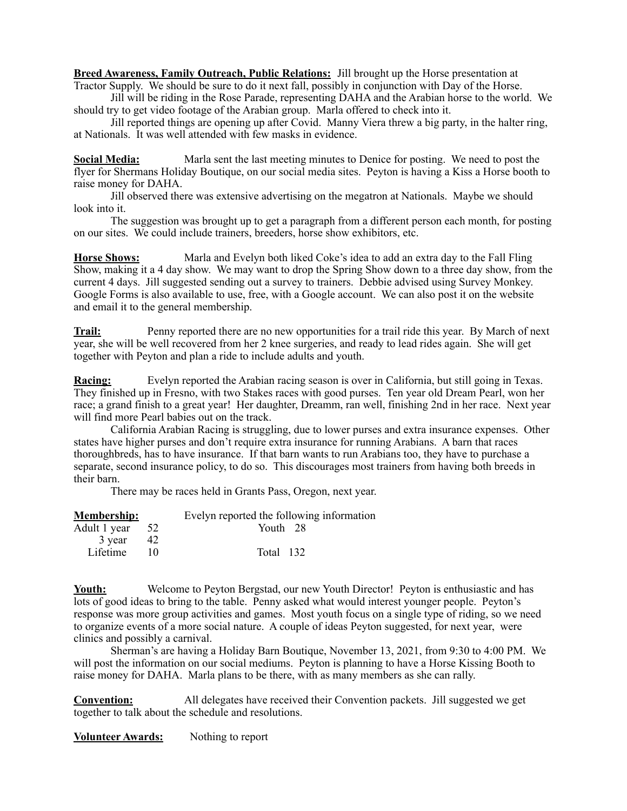**Breed Awareness, Family Outreach, Public Relations:** Jill brought up the Horse presentation at Tractor Supply. We should be sure to do it next fall, possibly in conjunction with Day of the Horse.

 Jill will be riding in the Rose Parade, representing DAHA and the Arabian horse to the world. We should try to get video footage of the Arabian group. Marla offered to check into it.

 Jill reported things are opening up after Covid. Manny Viera threw a big party, in the halter ring, at Nationals. It was well attended with few masks in evidence.

**Social Media:** Marla sent the last meeting minutes to Denice for posting. We need to post the flyer for Shermans Holiday Boutique, on our social media sites. Peyton is having a Kiss a Horse booth to raise money for DAHA.

 Jill observed there was extensive advertising on the megatron at Nationals. Maybe we should look into it.

 The suggestion was brought up to get a paragraph from a different person each month, for posting on our sites. We could include trainers, breeders, horse show exhibitors, etc.

**Horse Shows:** Marla and Evelyn both liked Coke's idea to add an extra day to the Fall Fling Show, making it a 4 day show. We may want to drop the Spring Show down to a three day show, from the current 4 days. Jill suggested sending out a survey to trainers. Debbie advised using Survey Monkey. Google Forms is also available to use, free, with a Google account. We can also post it on the website and email it to the general membership.

**Trail:** Penny reported there are no new opportunities for a trail ride this year. By March of next year, she will be well recovered from her 2 knee surgeries, and ready to lead rides again. She will get together with Peyton and plan a ride to include adults and youth.

**Racing:** Evelyn reported the Arabian racing season is over in California, but still going in Texas. They finished up in Fresno, with two Stakes races with good purses. Ten year old Dream Pearl, won her race; a grand finish to a great year! Her daughter, Dreamm, ran well, finishing 2nd in her race. Next year will find more Pearl babies out on the track.

 California Arabian Racing is struggling, due to lower purses and extra insurance expenses. Other states have higher purses and don't require extra insurance for running Arabians. A barn that races thoroughbreds, has to have insurance. If that barn wants to run Arabians too, they have to purchase a separate, second insurance policy, to do so. This discourages most trainers from having both breeds in their barn.

There may be races held in Grants Pass, Oregon, next year.

| <b>Membership:</b>  | Evelyn reported the following information |
|---------------------|-------------------------------------------|
| Adult 1 year 52     | Youth 28                                  |
| $3 \text{ year}$ 42 |                                           |
| Lifetime            | Total 132                                 |

**Youth:** Welcome to Peyton Bergstad, our new Youth Director! Peyton is enthusiastic and has lots of good ideas to bring to the table. Penny asked what would interest younger people. Peyton's response was more group activities and games. Most youth focus on a single type of riding, so we need to organize events of a more social nature. A couple of ideas Peyton suggested, for next year, were clinics and possibly a carnival.

 Sherman's are having a Holiday Barn Boutique, November 13, 2021, from 9:30 to 4:00 PM. We will post the information on our social mediums. Peyton is planning to have a Horse Kissing Booth to raise money for DAHA. Marla plans to be there, with as many members as she can rally.

**Convention:** All delegates have received their Convention packets. Jill suggested we get together to talk about the schedule and resolutions.

**Volunteer Awards:** Nothing to report